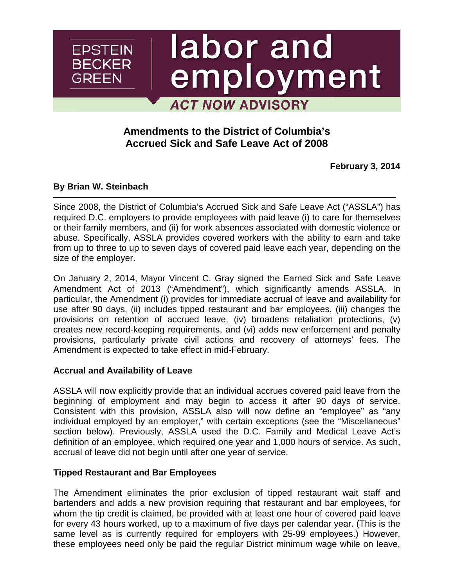# labor and employment **ACT NOW ADVISORY**

## **Amendments to the District of Columbia's Accrued Sick and Safe Leave Act of 2008**

**February 3, 2014**

#### **By [Brian W. Steinbach](http://www.ebglaw.com/showbio.aspx?Show=2695)**

**EPSTEIN BECKER** 

GREEN

Since 2008, the District of Columbia's Accrued Sick and Safe Leave Act ("ASSLA") has required D.C. employers to provide employees with paid leave (i) to care for themselves or their family members, and (ii) for work absences associated with domestic violence or abuse. Specifically, ASSLA provides covered workers with the ability to earn and take from up to three to up to seven days of covered paid leave each year, depending on the size of the employer.

On January 2, 2014, Mayor Vincent C. Gray signed the Earned Sick and Safe Leave Amendment Act of 2013 ("Amendment"), which significantly amends ASSLA. In particular, the Amendment (i) provides for immediate accrual of leave and availability for use after 90 days, (ii) includes tipped restaurant and bar employees, (iii) changes the provisions on retention of accrued leave, (iv) broadens retaliation protections, (v) creates new record-keeping requirements, and (vi) adds new enforcement and penalty provisions, particularly private civil actions and recovery of attorneys' fees. The Amendment is expected to take effect in mid-February.

#### **Accrual and Availability of Leave**

ASSLA will now explicitly provide that an individual accrues covered paid leave from the beginning of employment and may begin to access it after 90 days of service. Consistent with this provision, ASSLA also will now define an "employee" as "any individual employed by an employer," with certain exceptions (see the "Miscellaneous" section below). Previously, ASSLA used the D.C. Family and Medical Leave Act's definition of an employee, which required one year and 1,000 hours of service. As such, accrual of leave did not begin until after one year of service.

### **Tipped Restaurant and Bar Employees**

The Amendment eliminates the prior exclusion of tipped restaurant wait staff and bartenders and adds a new provision requiring that restaurant and bar employees, for whom the tip credit is claimed, be provided with at least one hour of covered paid leave for every 43 hours worked, up to a maximum of five days per calendar year. (This is the same level as is currently required for employers with 25-99 employees.) However, these employees need only be paid the regular District minimum wage while on leave,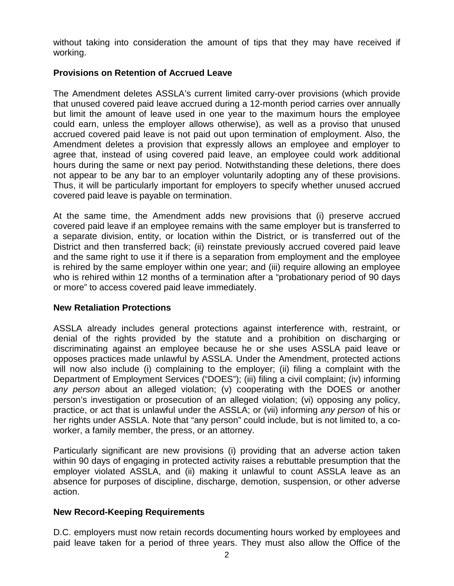without taking into consideration the amount of tips that they may have received if working.

#### **Provisions on Retention of Accrued Leave**

The Amendment deletes ASSLA's current limited carry-over provisions (which provide that unused covered paid leave accrued during a 12-month period carries over annually but limit the amount of leave used in one year to the maximum hours the employee could earn, unless the employer allows otherwise), as well as a proviso that unused accrued covered paid leave is not paid out upon termination of employment. Also, the Amendment deletes a provision that expressly allows an employee and employer to agree that, instead of using covered paid leave, an employee could work additional hours during the same or next pay period. Notwithstanding these deletions, there does not appear to be any bar to an employer voluntarily adopting any of these provisions. Thus, it will be particularly important for employers to specify whether unused accrued covered paid leave is payable on termination.

At the same time, the Amendment adds new provisions that (i) preserve accrued covered paid leave if an employee remains with the same employer but is transferred to a separate division, entity, or location within the District, or is transferred out of the District and then transferred back; (ii) reinstate previously accrued covered paid leave and the same right to use it if there is a separation from employment and the employee is rehired by the same employer within one year; and (iii) require allowing an employee who is rehired within 12 months of a termination after a "probationary period of 90 days or more" to access covered paid leave immediately.

#### **New Retaliation Protections**

ASSLA already includes general protections against interference with, restraint, or denial of the rights provided by the statute and a prohibition on discharging or discriminating against an employee because he or she uses ASSLA paid leave or opposes practices made unlawful by ASSLA. Under the Amendment, protected actions will now also include (i) complaining to the employer; (ii) filing a complaint with the Department of Employment Services ("DOES"); (iii) filing a civil complaint; (iv) informing *any person* about an alleged violation; (v) cooperating with the DOES or another person's investigation or prosecution of an alleged violation; (vi) opposing any policy, practice, or act that is unlawful under the ASSLA; or (vii) informing *any person* of his or her rights under ASSLA. Note that "any person" could include, but is not limited to, a coworker, a family member, the press, or an attorney.

Particularly significant are new provisions (i) providing that an adverse action taken within 90 days of engaging in protected activity raises a rebuttable presumption that the employer violated ASSLA, and (ii) making it unlawful to count ASSLA leave as an absence for purposes of discipline, discharge, demotion, suspension, or other adverse action.

#### **New Record-Keeping Requirements**

D.C. employers must now retain records documenting hours worked by employees and paid leave taken for a period of three years. They must also allow the Office of the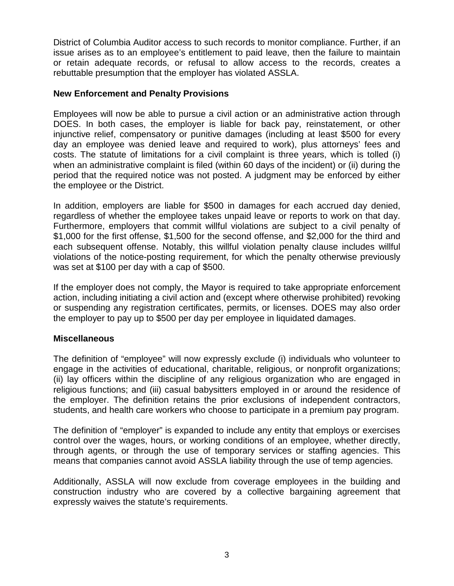District of Columbia Auditor access to such records to monitor compliance. Further, if an issue arises as to an employee's entitlement to paid leave, then the failure to maintain or retain adequate records, or refusal to allow access to the records, creates a rebuttable presumption that the employer has violated ASSLA.

#### **New Enforcement and Penalty Provisions**

Employees will now be able to pursue a civil action or an administrative action through DOES. In both cases, the employer is liable for back pay, reinstatement, or other injunctive relief, compensatory or punitive damages (including at least \$500 for every day an employee was denied leave and required to work), plus attorneys' fees and costs. The statute of limitations for a civil complaint is three years, which is tolled (i) when an administrative complaint is filed (within 60 days of the incident) or (ii) during the period that the required notice was not posted. A judgment may be enforced by either the employee or the District.

In addition, employers are liable for \$500 in damages for each accrued day denied, regardless of whether the employee takes unpaid leave or reports to work on that day. Furthermore, employers that commit willful violations are subject to a civil penalty of \$1,000 for the first offense, \$1,500 for the second offense, and \$2,000 for the third and each subsequent offense. Notably, this willful violation penalty clause includes willful violations of the notice-posting requirement, for which the penalty otherwise previously was set at \$100 per day with a cap of \$500.

If the employer does not comply, the Mayor is required to take appropriate enforcement action, including initiating a civil action and (except where otherwise prohibited) revoking or suspending any registration certificates, permits, or licenses. DOES may also order the employer to pay up to \$500 per day per employee in liquidated damages.

### **Miscellaneous**

The definition of "employee" will now expressly exclude (i) individuals who volunteer to engage in the activities of educational, charitable, religious, or nonprofit organizations; (ii) lay officers within the discipline of any religious organization who are engaged in religious functions; and (iii) casual babysitters employed in or around the residence of the employer. The definition retains the prior exclusions of independent contractors, students, and health care workers who choose to participate in a premium pay program.

The definition of "employer" is expanded to include any entity that employs or exercises control over the wages, hours, or working conditions of an employee, whether directly, through agents, or through the use of temporary services or staffing agencies. This means that companies cannot avoid ASSLA liability through the use of temp agencies.

Additionally, ASSLA will now exclude from coverage employees in the building and construction industry who are covered by a collective bargaining agreement that expressly waives the statute's requirements.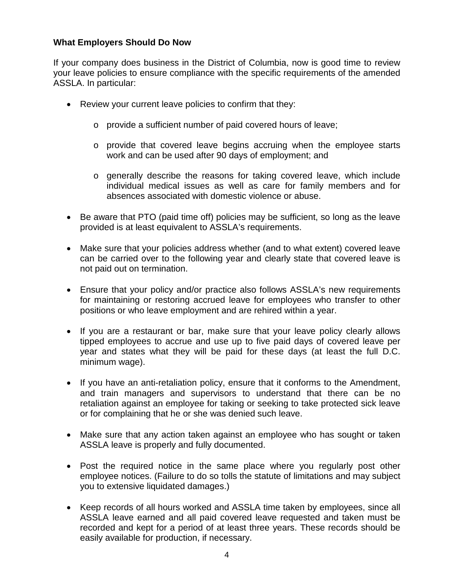#### **What Employers Should Do Now**

If your company does business in the District of Columbia, now is good time to review your leave policies to ensure compliance with the specific requirements of the amended ASSLA. In particular:

- Review your current leave policies to confirm that they:
	- o provide a sufficient number of paid covered hours of leave;
	- $\circ$  provide that covered leave begins accruing when the employee starts work and can be used after 90 days of employment; and
	- o generally describe the reasons for taking covered leave, which include individual medical issues as well as care for family members and for absences associated with domestic violence or abuse.
- Be aware that PTO (paid time off) policies may be sufficient, so long as the leave provided is at least equivalent to ASSLA's requirements.
- Make sure that your policies address whether (and to what extent) covered leave can be carried over to the following year and clearly state that covered leave is not paid out on termination.
- Ensure that your policy and/or practice also follows ASSLA's new requirements for maintaining or restoring accrued leave for employees who transfer to other positions or who leave employment and are rehired within a year.
- If you are a restaurant or bar, make sure that your leave policy clearly allows tipped employees to accrue and use up to five paid days of covered leave per year and states what they will be paid for these days (at least the full D.C. minimum wage).
- If you have an anti-retaliation policy, ensure that it conforms to the Amendment, and train managers and supervisors to understand that there can be no retaliation against an employee for taking or seeking to take protected sick leave or for complaining that he or she was denied such leave.
- Make sure that any action taken against an employee who has sought or taken ASSLA leave is properly and fully documented.
- Post the required notice in the same place where you regularly post other employee notices. (Failure to do so tolls the statute of limitations and may subject you to extensive liquidated damages.)
- Keep records of all hours worked and ASSLA time taken by employees, since all ASSLA leave earned and all paid covered leave requested and taken must be recorded and kept for a period of at least three years. These records should be easily available for production, if necessary.